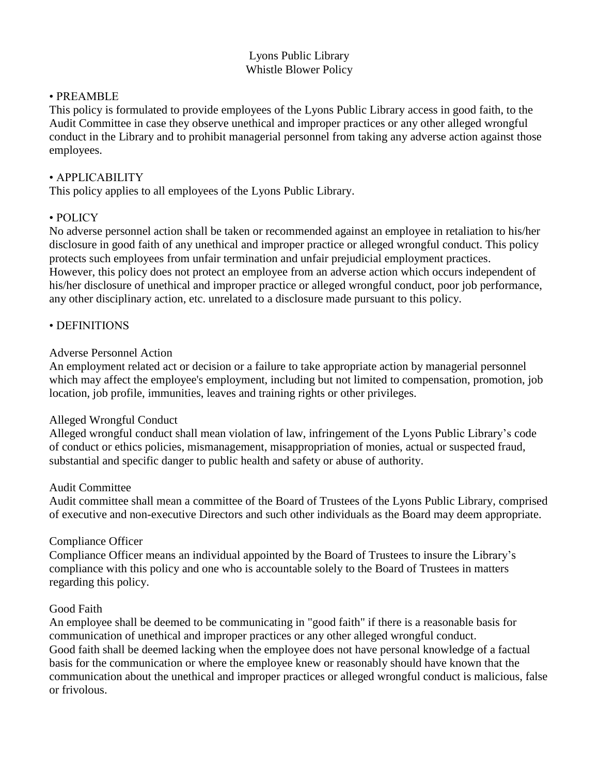# Lyons Public Library Whistle Blower Policy

### • PREAMBLE

This policy is formulated to provide employees of the Lyons Public Library access in good faith, to the Audit Committee in case they observe unethical and improper practices or any other alleged wrongful conduct in the Library and to prohibit managerial personnel from taking any adverse action against those employees.

### • APPLICABILITY

This policy applies to all employees of the Lyons Public Library.

### • POLICY

No adverse personnel action shall be taken or recommended against an employee in retaliation to his/her disclosure in good faith of any unethical and improper practice or alleged wrongful conduct. This policy protects such employees from unfair termination and unfair prejudicial employment practices. However, this policy does not protect an employee from an adverse action which occurs independent of his/her disclosure of unethical and improper practice or alleged wrongful conduct, poor job performance, any other disciplinary action, etc. unrelated to a disclosure made pursuant to this policy.

### • DEFINITIONS

#### Adverse Personnel Action

An employment related act or decision or a failure to take appropriate action by managerial personnel which may affect the employee's employment, including but not limited to compensation, promotion, job location, job profile, immunities, leaves and training rights or other privileges.

#### Alleged Wrongful Conduct

Alleged wrongful conduct shall mean violation of law, infringement of the Lyons Public Library's code of conduct or ethics policies, mismanagement, misappropriation of monies, actual or suspected fraud, substantial and specific danger to public health and safety or abuse of authority.

#### Audit Committee

Audit committee shall mean a committee of the Board of Trustees of the Lyons Public Library, comprised of executive and non-executive Directors and such other individuals as the Board may deem appropriate.

#### Compliance Officer

Compliance Officer means an individual appointed by the Board of Trustees to insure the Library's compliance with this policy and one who is accountable solely to the Board of Trustees in matters regarding this policy.

#### Good Faith

An employee shall be deemed to be communicating in "good faith" if there is a reasonable basis for communication of unethical and improper practices or any other alleged wrongful conduct. Good faith shall be deemed lacking when the employee does not have personal knowledge of a factual basis for the communication or where the employee knew or reasonably should have known that the communication about the unethical and improper practices or alleged wrongful conduct is malicious, false or frivolous.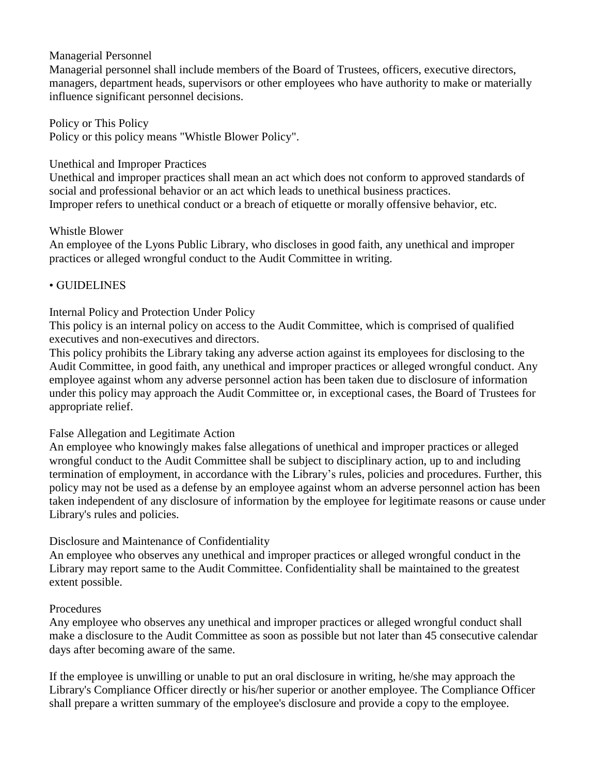### Managerial Personnel

Managerial personnel shall include members of the Board of Trustees, officers, executive directors, managers, department heads, supervisors or other employees who have authority to make or materially influence significant personnel decisions.

Policy or This Policy Policy or this policy means "Whistle Blower Policy".

### Unethical and Improper Practices

Unethical and improper practices shall mean an act which does not conform to approved standards of social and professional behavior or an act which leads to unethical business practices. Improper refers to unethical conduct or a breach of etiquette or morally offensive behavior, etc.

### Whistle Blower

An employee of the Lyons Public Library, who discloses in good faith, any unethical and improper practices or alleged wrongful conduct to the Audit Committee in writing.

# • GUIDELINES

# Internal Policy and Protection Under Policy

This policy is an internal policy on access to the Audit Committee, which is comprised of qualified executives and non-executives and directors.

This policy prohibits the Library taking any adverse action against its employees for disclosing to the Audit Committee, in good faith, any unethical and improper practices or alleged wrongful conduct. Any employee against whom any adverse personnel action has been taken due to disclosure of information under this policy may approach the Audit Committee or, in exceptional cases, the Board of Trustees for appropriate relief.

# False Allegation and Legitimate Action

An employee who knowingly makes false allegations of unethical and improper practices or alleged wrongful conduct to the Audit Committee shall be subject to disciplinary action, up to and including termination of employment, in accordance with the Library's rules, policies and procedures. Further, this policy may not be used as a defense by an employee against whom an adverse personnel action has been taken independent of any disclosure of information by the employee for legitimate reasons or cause under Library's rules and policies.

# Disclosure and Maintenance of Confidentiality

An employee who observes any unethical and improper practices or alleged wrongful conduct in the Library may report same to the Audit Committee. Confidentiality shall be maintained to the greatest extent possible.

#### Procedures

Any employee who observes any unethical and improper practices or alleged wrongful conduct shall make a disclosure to the Audit Committee as soon as possible but not later than 45 consecutive calendar days after becoming aware of the same.

If the employee is unwilling or unable to put an oral disclosure in writing, he/she may approach the Library's Compliance Officer directly or his/her superior or another employee. The Compliance Officer shall prepare a written summary of the employee's disclosure and provide a copy to the employee.